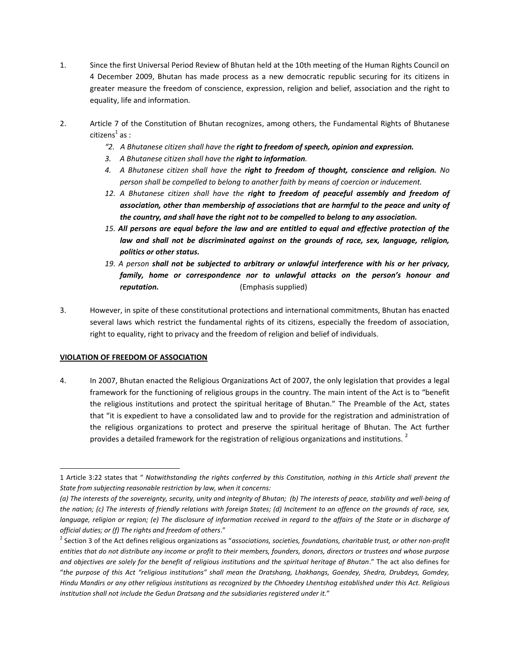- 1. Since the first Universal Period Review of Bhutan held at the 10th meeting of the Human Rights Council on 4 December 2009, Bhutan has made process as a new democratic republic securing for its citizens in greater measure the freedom of conscience, expression, religion and belief, association and the right to equality, life and information*.*
- 2. Article 7 of the Constitution of Bhutan recognizes, among others, the Fundamental Rights of Bhutanese citizens $^1$  as :
	- *"2. A Bhutanese citizen shall have the right to freedom of speech, opinion and expression.*
	- *3. A Bhutanese citizen shall have the right to information.*
	- *4. A Bhutanese citizen shall have the right to freedom of thought, conscience and religion. No person shall be compelled to belong to another faith by means of coercion or inducement.*
	- *12. A Bhutanese citizen shall have the right to freedom of peaceful assembly and freedom of association, other than membership of associations that are harmful to the peace and unity of the country, and shall have the right not to be compelled to belong to any association.*
	- *15. All persons are equal before the law and are entitled to equal and effective protection of the law and shall not be discriminated against on the grounds of race, sex, language, religion, politics or other status.*
	- *19. A person shall not be subjected to arbitrary or unlawful interference with his or her privacy, family, home or correspondence nor to unlawful attacks on the person's honour and reputation.* (Emphasis supplied)
- 3. However, in spite of these constitutional protections and international commitments, Bhutan has enacted several laws which restrict the fundamental rights of its citizens, especially the freedom of association, right to equality, right to privacy and the freedom of religion and belief of individuals.

### **VIOLATION OF FREEDOM OF ASSOCIATION**

4. In 2007, Bhutan enacted the Religious Organizations Act of 2007, the only legislation that provides a legal framework for the functioning of religious groups in the country. The main intent of the Act is to "benefit the religious institutions and protect the spiritual heritage of Bhutan." The Preamble of the Act, states that "it is expedient to have a consolidated law and to provide for the registration and administration of the religious organizations to protect and preserve the spiritual heritage of Bhutan. The Act further provides a detailed framework for the registration of religious organizations and institutions.<sup>2</sup>

l 1 Article 3:22 states that " *Notwithstanding the rights conferred by this Constitution, nothing in this Article shall prevent the State from subjecting reasonable restriction by law, when it concerns:*

*<sup>(</sup>a) The interests of the sovereignty, security, unity and integrity of Bhutan; (b) The interests of peace, stability and well-being of the nation; (c) The interests of friendly relations with foreign States; (d) Incitement to an offence on the grounds of race, sex, language, religion or region; (e) The disclosure of information received in regard to the affairs of the State or in discharge of official duties; or (f) The rights and freedom of others*."

<sup>2</sup> Section 3 of the Act defines religious organizations as "*associations, societies, foundations, charitable trust, or other non-profit entities that do not distribute any income or profit to their members, founders, donors, directors or trustees and whose purpose and objectives are solely for the benefit of religious institutions and the spiritual heritage of Bhutan*." The act also defines for "*the purpose of this Act "religious institutions" shall mean the Dratshang, Lhakhangs, Goendey, Shedra, Drubdeys, Gomdey, Hindu Mandirs or any other religious institutions as recognized by the Chhoedey Lhentshog established under this Act. Religious institution shall not include the Gedun Dratsang and the subsidiaries registered under it.*"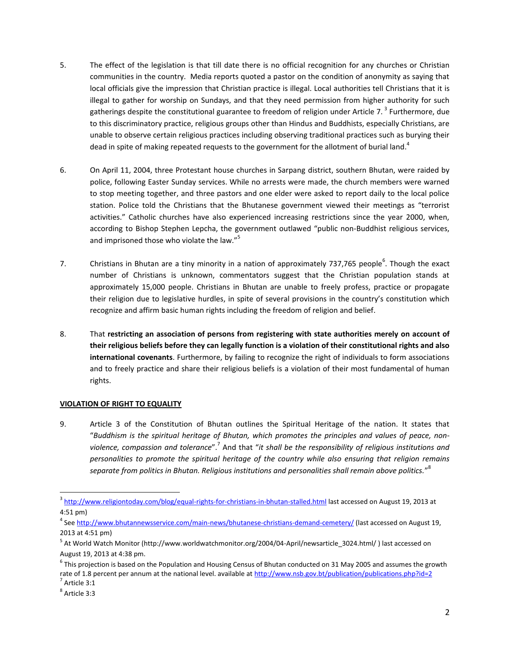- 5. The effect of the legislation is that till date there is no official recognition for any churches or Christian communities in the country. Media reports quoted a pastor on the condition of anonymity as saying that local officials give the impression that Christian practice is illegal. Local authorities tell Christians that it is illegal to gather for worship on Sundays, and that they need permission from higher authority for such gatherings despite the constitutional guarantee to freedom of religion under Article 7.<sup>3</sup> Furthermore, due to this discriminatory practice, religious groups other than Hindus and Buddhists, especially Christians, are unable to observe certain religious practices including observing traditional practices such as burying their dead in spite of making repeated requests to the government for the allotment of burial land.<sup>4</sup>
- 6. On April 11, 2004, three Protestant house churches in Sarpang district, southern Bhutan, were raided by police, following Easter Sunday services. While no arrests were made, the church members were warned to stop meeting together, and three pastors and one elder were asked to report daily to the local police station. Police told the Christians that the Bhutanese government viewed their meetings as "terrorist activities." Catholic churches have also experienced increasing restrictions since the year 2000, when, according to Bishop Stephen Lepcha, the government outlawed "public non-Buddhist religious services, and imprisoned those who violate the law."<sup>5</sup>
- 7. Christians in Bhutan are a tiny minority in a nation of approximately 737,765 people<sup>6</sup>. Though the exact number of Christians is unknown, commentators suggest that the Christian population stands at approximately 15,000 people. Christians in Bhutan are unable to freely profess, practice or propagate their religion due to legislative hurdles, in spite of several provisions in the country's constitution which recognize and affirm basic human rights including the freedom of religion and belief.
- 8. That **restricting an association of persons from registering with state authorities merely on account of their religious beliefs before they can legally function is a violation of their constitutional rights and also international covenants**. Furthermore, by failing to recognize the right of individuals to form associations and to freely practice and share their religious beliefs is a violation of their most fundamental of human rights.

### **VIOLATION OF RIGHT TO EQUALITY**

9. Article 3 of the Constitution of Bhutan outlines the Spiritual Heritage of the nation. It states that "*Buddhism is the spiritual heritage of Bhutan, which promotes the principles and values of peace, nonviolence, compassion and tolerance*".<sup>7</sup> And that "*it shall be the responsibility of religious institutions and personalities to promote the spiritual heritage of the country while also ensuring that religion remains separate from politics in Bhutan. Religious institutions and personalities shall remain above politics.*" 8

l

<sup>&</sup>lt;sup>3</sup> <http://www.religiontoday.com/blog/equal-rights-for-christians-in-bhutan-stalled.html> last accessed on August 19, 2013 at 4:51 pm)

<sup>&</sup>lt;sup>4</sup> See <u>http://www.bhutannewsservice.com/main-news/bhutanese-christians-demand-cemetery/</u> (last accessed on August 19, 2013 at 4:51 pm)

<sup>&</sup>lt;sup>5</sup> At World Watch Monitor [\(http://www.worldwatchmonitor.org/2004/04-April/newsarticle\\_3024.html/](http://www.worldwatchmonitor.org/2004/04-April/newsarticle_3024.html/) ) last accessed on August 19, 2013 at 4:38 pm.

 $^6$  This projection is based on the Population and Housing Census of Bhutan conducted on 31 May 2005 and assumes the growth rate of 1.8 percent per annum at the national level. available a[t http://www.nsb.gov.bt/publication/publications.php?id=2](http://www.nsb.gov.bt/publication/publications.php?id=2)

 $<sup>7</sup>$  Article 3:1</sup>

<sup>8</sup> Article 3:3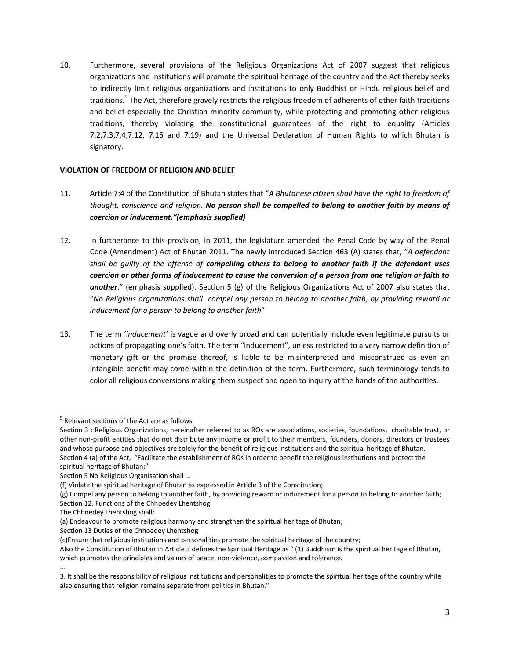10. Furthermore, several provisions of the Religious Organizations Act of 2007 suggest that religious organizations and institutions will promote the spiritual heritage of the country and the Act thereby seeks to indirectly limit religious organizations and institutions to only Buddhist or Hindu religious belief and traditions.<sup>9</sup> The Act, therefore gravely restricts the religious freedom of adherents of other faith traditions and belief especially the Christian minority community, while protecting and promoting other religious traditions, thereby violating the constitutional guarantees of the right to equality (Articles 7.2,7.3,7.4,7.12, 7.15 and 7.19) and the Universal Declaration of Human Rights to which Bhutan is signatory.

### **VIOLATION OF FREEDOM OF RELIGION AND BELIEF**

- 11. Article 7:4 of the Constitution of Bhutan states that "*A Bhutanese citizen shall have the right to freedom of thought, conscience and religion. No person shall be compelled to belong to another faith by means of coercion or inducement."(emphasis supplied)*
- 12. In furtherance to this provision, in 2011, the legislature amended the Penal Code by way of the Penal Code (Amendment) Act of Bhutan 2011. The newly introduced Section 463 (A) states that, "*A defendant shall be guilty of the offense of compelling others to belong to another faith if the defendant uses coercion or other forms of inducement to cause the conversion of a person from one religion or faith to another*." (emphasis supplied). Section 5 (g) of the Religious Organizations Act of 2007 also states that "*No Religious organizations shall compel any person to belong to another faith, by providing reward or inducement for a person to belong to another faith*"
- 13. The term '*inducement'* is vague and overly broad and can potentially include even legitimate pursuits or actions of propagating one's faith. The term "inducement", unless restricted to a very narrow definition of monetary gift or the promise thereof, is liable to be misinterpreted and misconstrued as even an intangible benefit may come within the definition of the term. Furthermore, such terminology tends to color all religious conversions making them suspect and open to inquiry at the hands of the authorities.

Section 13 Duties of the Chhoedey Lhentshog

 $\overline{\phantom{a}}$  $9$  Relevant sections of the Act are as follows

Section 3 : Religious Organizations, hereinafter referred to as ROs are associations, societies, foundations, charitable trust, or other non-profit entities that do not distribute any income or profit to their members, founders, donors, directors or trustees and whose purpose and objectives are solely for the benefit of religious institutions and the spiritual heritage of Bhutan. Section 4 (a) of the Act, "Facilitate the establishment of ROs in order to benefit the religious institutions and protect the spiritual heritage of Bhutan;"

Section 5 No Religious Organisation shall ...

<sup>(</sup>f) Violate the spiritual heritage of Bhutan as expressed in Article 3 of the Constitution;

<sup>(</sup>g) Compel any person to belong to another faith, by providing reward or inducement for a person to belong to another faith; Section 12. Functions of the Chhoedey Lhentshog

The Chhoedey Lhentshog shall:

<sup>(</sup>a) Endeavour to promote religious harmony and strengthen the spiritual heritage of Bhutan;

<sup>(</sup>c)Ensure that religious institutions and personalities promote the spiritual heritage of the country;

Also the Constitution of Bhutan in Article 3 defines the Spiritual Heritage as " (1) Buddhism is the spiritual heritage of Bhutan, which promotes the principles and values of peace, non-violence, compassion and tolerance.

<sup>….</sup> 3. It shall be the responsibility of religious institutions and personalities to promote the spiritual heritage of the country while also ensuring that religion remains separate from politics in Bhutan."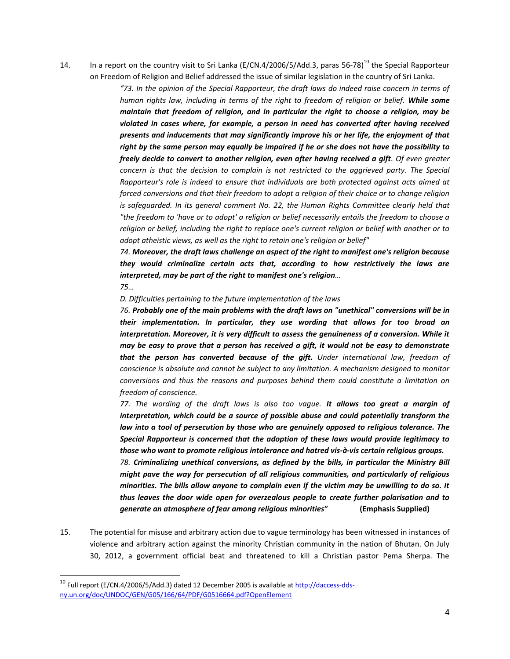14. In a report on the country visit to Sri Lanka (E/CN.4/2006/5/Add.3, paras 56-78)<sup>10</sup> the Special Rapporteur on Freedom of Religion and Belief addressed the issue of similar legislation in the country of Sri Lanka.

> *"73. In the opinion of the Special Rapporteur, the draft laws do indeed raise concern in terms of human rights law, including in terms of the right to freedom of religion or belief. While some maintain that freedom of religion, and in particular the right to choose a religion, may be violated in cases where, for example, a person in need has converted after having received presents and inducements that may significantly improve his or her life, the enjoyment of that right by the same person may equally be impaired if he or she does not have the possibility to freely decide to convert to another religion, even after having received a gift. Of even greater concern is that the decision to complain is not restricted to the aggrieved party. The Special Rapporteur's role is indeed to ensure that individuals are both protected against acts aimed at forced conversions and that their freedom to adopt a religion of their choice or to change religion is safeguarded. In its general comment No. 22, the Human Rights Committee clearly held that "the freedom to 'have or to adopt' a religion or belief necessarily entails the freedom to choose a religion or belief, including the right to replace one's current religion or belief with another or to adopt atheistic views, as well as the right to retain one's religion or belief"*

> *74. Moreover, the draft laws challenge an aspect of the right to manifest one's religion because they would criminalize certain acts that, according to how restrictively the laws are interpreted, may be part of the right to manifest one's religion…*

*75…*

 $\overline{\phantom{a}}$ 

*D. Difficulties pertaining to the future implementation of the laws*

*76. Probably one of the main problems with the draft laws on "unethical" conversions will be in their implementation. In particular, they use wording that allows for too broad an interpretation. Moreover, it is very difficult to assess the genuineness of a conversion. While it may be easy to prove that a person has received a gift, it would not be easy to demonstrate that the person has converted because of the gift. Under international law, freedom of conscience is absolute and cannot be subject to any limitation. A mechanism designed to monitor conversions and thus the reasons and purposes behind them could constitute a limitation on freedom of conscience.*

*77. The wording of the draft laws is also too vague. It allows too great a margin of interpretation, which could be a source of possible abuse and could potentially transform the law into a tool of persecution by those who are genuinely opposed to religious tolerance. The Special Rapporteur is concerned that the adoption of these laws would provide legitimacy to those who want to promote religious intolerance and hatred vis-à-vis certain religious groups.*

*78. Criminalizing unethical conversions, as defined by the bills, in particular the Ministry Bill might pave the way for persecution of all religious communities, and particularly of religious minorities. The bills allow anyone to complain even if the victim may be unwilling to do so. It thus leaves the door wide open for overzealous people to create further polarisation and to generate an atmosphere of fear among religious minorities***" (Emphasis Supplied)**

15. The potential for misuse and arbitrary action due to vague terminology has been witnessed in instances of violence and arbitrary action against the minority Christian community in the nation of Bhutan. On July 30, 2012, a government official beat and threatened to kill a Christian pastor Pema Sherpa. The

<sup>&</sup>lt;sup>10</sup> Full report (E/CN.4/2006/5/Add.3) dated 12 December 2005 is available at <u>http://daccess-dds-</u> [ny.un.org/doc/UNDOC/GEN/G05/166/64/PDF/G0516664.pdf?OpenElement](http://daccess-dds-ny.un.org/doc/UNDOC/GEN/G05/166/64/PDF/G0516664.pdf?OpenElement)